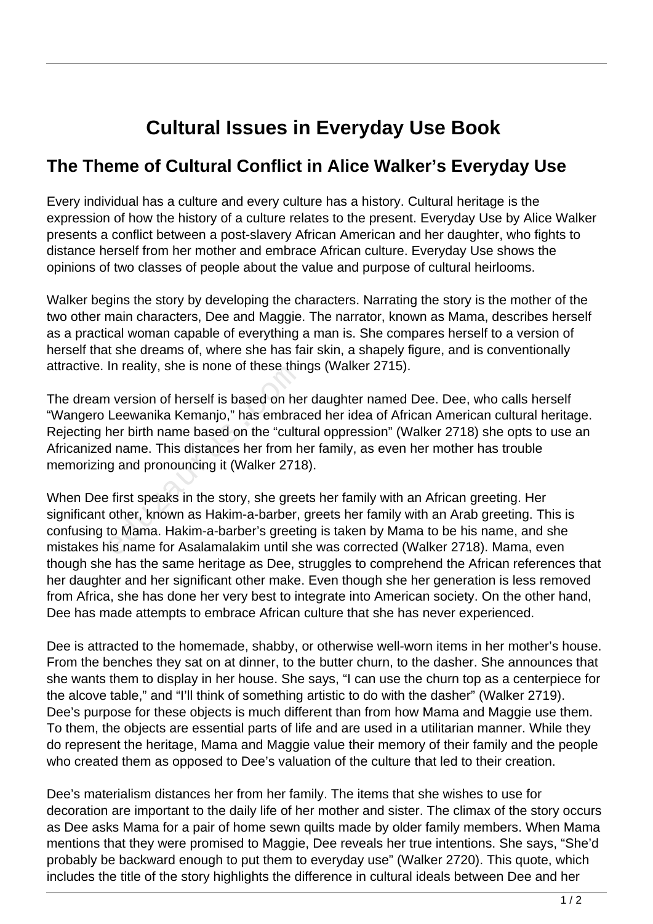## **Cultural Issues in Everyday Use Book**

## **The Theme of Cultural Conflict in Alice Walker's Everyday Use**

Every individual has a culture and every culture has a history. Cultural heritage is the expression of how the history of a culture relates to the present. Everyday Use by Alice Walker presents a conflict between a post-slavery African American and her daughter, who fights to distance herself from her mother and embrace African culture. Everyday Use shows the opinions of two classes of people about the value and purpose of cultural heirlooms.

Walker begins the story by developing the characters. Narrating the story is the mother of the two other main characters, Dee and Maggie. The narrator, known as Mama, describes herself as a practical woman capable of everything a man is. She compares herself to a version of herself that she dreams of, where she has fair skin, a shapely figure, and is conventionally attractive. In reality, she is none of these things (Walker 2715).

The dream version of herself is based on her daughter named Dee. Dee, who calls herself "Wangero Leewanika Kemanjo," has embraced her idea of African American cultural heritage. Rejecting her birth name based on the "cultural oppression" (Walker 2718) she opts to use an Africanized name. This distances her from her family, as even her mother has trouble memorizing and pronouncing it (Walker 2718). In reality, site is notie of these trift<br>In version of herself is based on he<br>Leewanika Kemanjo," has embrad<br>ner birth name based on the "cultu<br>d name. This distances her from h<br>g and pronouncing it (Walker 2718<br>first spea

When Dee first speaks in the story, she greets her family with an African greeting. Her significant other, known as Hakim-a-barber, greets her family with an Arab greeting. This is confusing to Mama. Hakim-a-barber's greeting is taken by Mama to be his name, and she mistakes his name for Asalamalakim until she was corrected (Walker 2718). Mama, even though she has the same heritage as Dee, struggles to comprehend the African references that her daughter and her significant other make. Even though she her generation is less removed from Africa, she has done her very best to integrate into American society. On the other hand, Dee has made attempts to embrace African culture that she has never experienced.

Dee is attracted to the homemade, shabby, or otherwise well-worn items in her mother's house. From the benches they sat on at dinner, to the butter churn, to the dasher. She announces that she wants them to display in her house. She says, "I can use the churn top as a centerpiece for the alcove table," and "I'll think of something artistic to do with the dasher" (Walker 2719). Dee's purpose for these objects is much different than from how Mama and Maggie use them. To them, the objects are essential parts of life and are used in a utilitarian manner. While they do represent the heritage, Mama and Maggie value their memory of their family and the people who created them as opposed to Dee's valuation of the culture that led to their creation.

Dee's materialism distances her from her family. The items that she wishes to use for decoration are important to the daily life of her mother and sister. The climax of the story occurs as Dee asks Mama for a pair of home sewn quilts made by older family members. When Mama mentions that they were promised to Maggie, Dee reveals her true intentions. She says, "She'd probably be backward enough to put them to everyday use" (Walker 2720). This quote, which includes the title of the story highlights the difference in cultural ideals between Dee and her